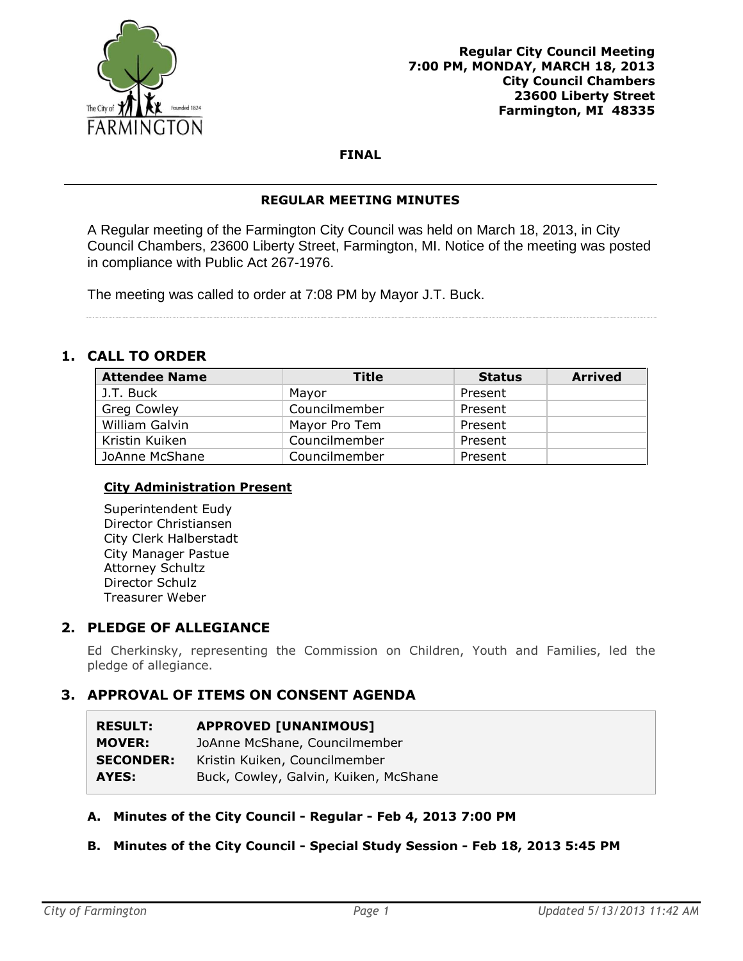

## **FINAL**

### **REGULAR MEETING MINUTES**

A Regular meeting of the Farmington City Council was held on March 18, 2013, in City Council Chambers, 23600 Liberty Street, Farmington, MI. Notice of the meeting was posted in compliance with Public Act 267-1976.

The meeting was called to order at 7:08 PM by Mayor J.T. Buck.

# **1. CALL TO ORDER**

| <b>Attendee Name</b> | Title         | <b>Status</b> | <b>Arrived</b> |
|----------------------|---------------|---------------|----------------|
| J.T. Buck            | Mayor         | Present       |                |
| <b>Greg Cowley</b>   | Councilmember | Present       |                |
| William Galvin       | Mayor Pro Tem | Present       |                |
| Kristin Kuiken       | Councilmember | Present       |                |
| JoAnne McShane       | Councilmember | Present       |                |

## **City Administration Present**

Superintendent Eudy Director Christiansen City Clerk Halberstadt City Manager Pastue Attorney Schultz Director Schulz Treasurer Weber

## **2. PLEDGE OF ALLEGIANCE**

Ed Cherkinsky, representing the Commission on Children, Youth and Families, led the pledge of allegiance.

# **3. APPROVAL OF ITEMS ON CONSENT AGENDA**

| <b>RESULT:</b>   | <b>APPROVED [UNANIMOUS]</b>           |
|------------------|---------------------------------------|
| <b>MOVER:</b>    | JoAnne McShane, Councilmember         |
| <b>SECONDER:</b> | Kristin Kuiken, Councilmember         |
| AYES:            | Buck, Cowley, Galvin, Kuiken, McShane |

## **A. Minutes of the City Council - Regular - Feb 4, 2013 7:00 PM**

## **B. Minutes of the City Council - Special Study Session - Feb 18, 2013 5:45 PM**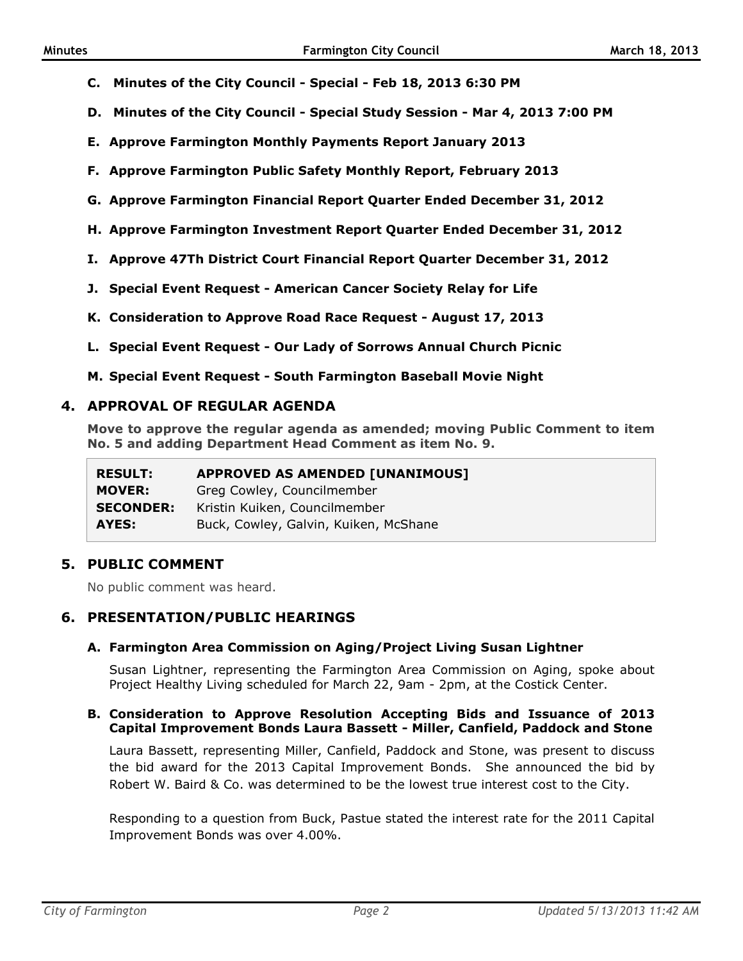- **C. Minutes of the City Council - Special - Feb 18, 2013 6:30 PM**
- **D. Minutes of the City Council - Special Study Session - Mar 4, 2013 7:00 PM**
- **E. Approve Farmington Monthly Payments Report January 2013**
- **F. Approve Farmington Public Safety Monthly Report, February 2013**
- **G. Approve Farmington Financial Report Quarter Ended December 31, 2012**
- **H. Approve Farmington Investment Report Quarter Ended December 31, 2012**
- **I. Approve 47Th District Court Financial Report Quarter December 31, 2012**
- **J. Special Event Request - American Cancer Society Relay for Life**
- **K. Consideration to Approve Road Race Request - August 17, 2013**
- **L. Special Event Request - Our Lady of Sorrows Annual Church Picnic**
- **M. Special Event Request - South Farmington Baseball Movie Night**

### **4. APPROVAL OF REGULAR AGENDA**

**Move to approve the regular agenda as amended; moving Public Comment to item No. 5 and adding Department Head Comment as item No. 9.**

| <b>RESULT:</b>   | <b>APPROVED AS AMENDED [UNANIMOUS]</b> |
|------------------|----------------------------------------|
| <b>MOVER:</b>    | Greg Cowley, Councilmember             |
| <b>SECONDER:</b> | Kristin Kuiken, Councilmember          |
| AYES:            | Buck, Cowley, Galvin, Kuiken, McShane  |

## **5. PUBLIC COMMENT**

No public comment was heard.

## **6. PRESENTATION/PUBLIC HEARINGS**

### **A. Farmington Area Commission on Aging/Project Living Susan Lightner**

Susan Lightner, representing the Farmington Area Commission on Aging, spoke about Project Healthy Living scheduled for March 22, 9am - 2pm, at the Costick Center.

#### **B. Consideration to Approve Resolution Accepting Bids and Issuance of 2013 Capital Improvement Bonds Laura Bassett - Miller, Canfield, Paddock and Stone**

Laura Bassett, representing Miller, Canfield, Paddock and Stone, was present to discuss the bid award for the 2013 Capital Improvement Bonds. She announced the bid by Robert W. Baird & Co. was determined to be the lowest true interest cost to the City.

Responding to a question from Buck, Pastue stated the interest rate for the 2011 Capital Improvement Bonds was over 4.00%.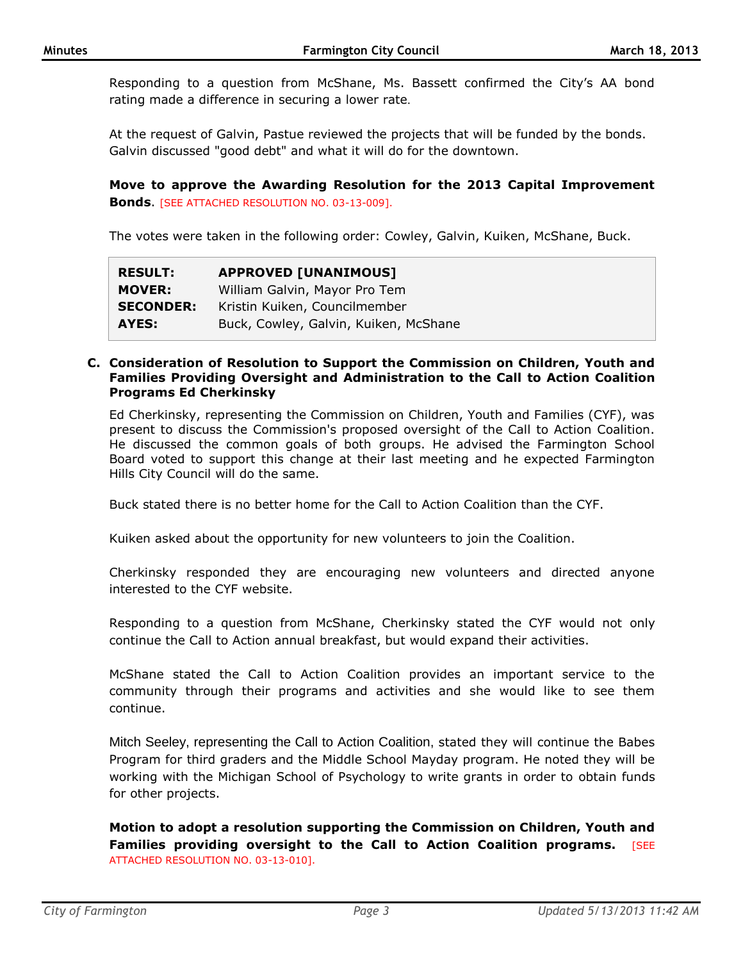Responding to a question from McShane, Ms. Bassett confirmed the City's AA bond rating made a difference in securing a lower rate.

At the request of Galvin, Pastue reviewed the projects that will be funded by the bonds. Galvin discussed "good debt" and what it will do for the downtown.

**Move to approve the Awarding Resolution for the 2013 Capital Improvement Bonds**. [SEE ATTACHED RESOLUTION NO. 03-13-009].

The votes were taken in the following order: Cowley, Galvin, Kuiken, McShane, Buck.

| <b>RESULT:</b>   | <b>APPROVED [UNANIMOUS]</b>           |
|------------------|---------------------------------------|
| <b>MOVER:</b>    | William Galvin, Mayor Pro Tem         |
| <b>SECONDER:</b> | Kristin Kuiken, Councilmember         |
| AYES:            | Buck, Cowley, Galvin, Kuiken, McShane |

#### **C. Consideration of Resolution to Support the Commission on Children, Youth and Families Providing Oversight and Administration to the Call to Action Coalition Programs Ed Cherkinsky**

Ed Cherkinsky, representing the Commission on Children, Youth and Families (CYF), was present to discuss the Commission's proposed oversight of the Call to Action Coalition. He discussed the common goals of both groups. He advised the Farmington School Board voted to support this change at their last meeting and he expected Farmington Hills City Council will do the same.

Buck stated there is no better home for the Call to Action Coalition than the CYF.

Kuiken asked about the opportunity for new volunteers to join the Coalition.

Cherkinsky responded they are encouraging new volunteers and directed anyone interested to the CYF website.

Responding to a question from McShane, Cherkinsky stated the CYF would not only continue the Call to Action annual breakfast, but would expand their activities.

McShane stated the Call to Action Coalition provides an important service to the community through their programs and activities and she would like to see them continue.

Mitch Seeley, representing the Call to Action Coalition, stated they will continue the Babes Program for third graders and the Middle School Mayday program. He noted they will be working with the Michigan School of Psychology to write grants in order to obtain funds for other projects.

**Motion to adopt a resolution supporting the Commission on Children, Youth and Families providing oversight to the Call to Action Coalition programs.** [SEE ATTACHED RESOLUTION NO. 03-13-010].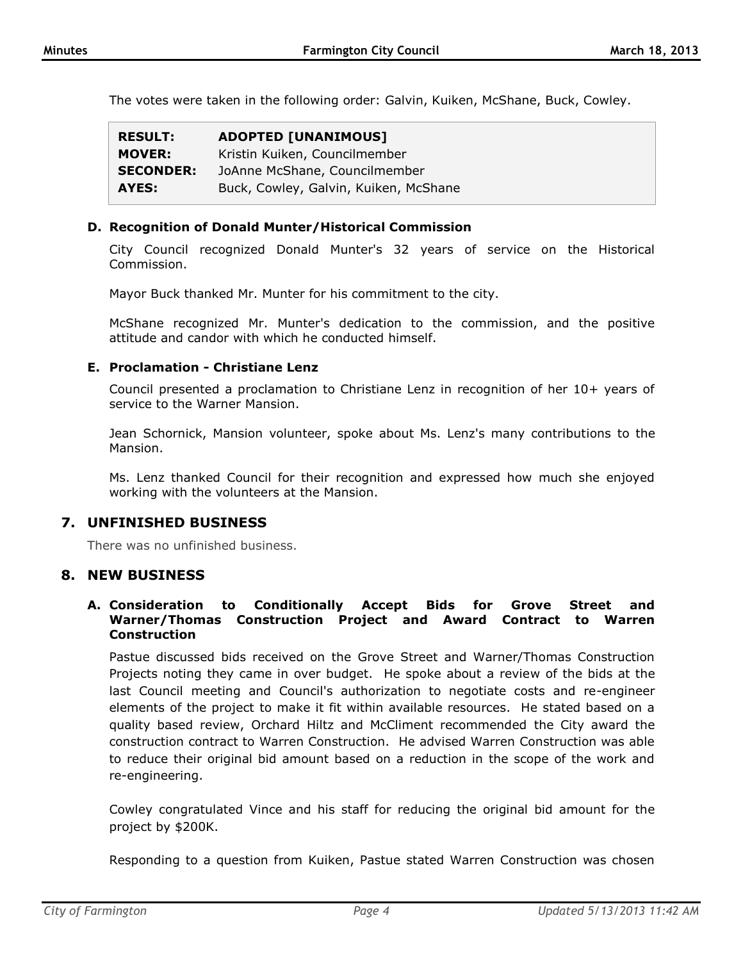The votes were taken in the following order: Galvin, Kuiken, McShane, Buck, Cowley.

| <b>RESULT:</b>   | <b>ADOPTED [UNANIMOUS]</b>            |
|------------------|---------------------------------------|
| <b>MOVER:</b>    | Kristin Kuiken, Councilmember         |
| <b>SECONDER:</b> | JoAnne McShane, Councilmember         |
| AYES:            | Buck, Cowley, Galvin, Kuiken, McShane |

### **D. Recognition of Donald Munter/Historical Commission**

City Council recognized Donald Munter's 32 years of service on the Historical Commission.

Mayor Buck thanked Mr. Munter for his commitment to the city.

McShane recognized Mr. Munter's dedication to the commission, and the positive attitude and candor with which he conducted himself.

### **E. Proclamation - Christiane Lenz**

Council presented a proclamation to Christiane Lenz in recognition of her 10+ years of service to the Warner Mansion.

Jean Schornick, Mansion volunteer, spoke about Ms. Lenz's many contributions to the Mansion.

Ms. Lenz thanked Council for their recognition and expressed how much she enjoyed working with the volunteers at the Mansion.

## **7. UNFINISHED BUSINESS**

There was no unfinished business.

## **8. NEW BUSINESS**

### **A. Consideration to Conditionally Accept Bids for Grove Street and Warner/Thomas Construction Project and Award Contract to Warren Construction**

Pastue discussed bids received on the Grove Street and Warner/Thomas Construction Projects noting they came in over budget. He spoke about a review of the bids at the last Council meeting and Council's authorization to negotiate costs and re-engineer elements of the project to make it fit within available resources. He stated based on a quality based review, Orchard Hiltz and McCliment recommended the City award the construction contract to Warren Construction. He advised Warren Construction was able to reduce their original bid amount based on a reduction in the scope of the work and re-engineering.

Cowley congratulated Vince and his staff for reducing the original bid amount for the project by \$200K.

Responding to a question from Kuiken, Pastue stated Warren Construction was chosen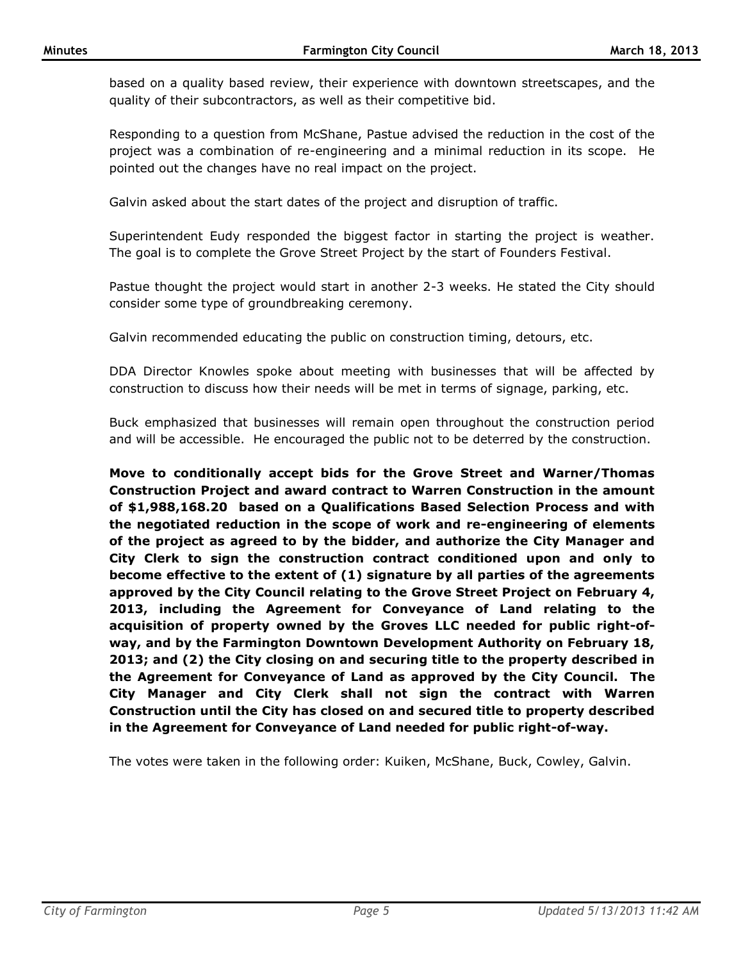based on a quality based review, their experience with downtown streetscapes, and the quality of their subcontractors, as well as their competitive bid.

Responding to a question from McShane, Pastue advised the reduction in the cost of the project was a combination of re-engineering and a minimal reduction in its scope. He pointed out the changes have no real impact on the project.

Galvin asked about the start dates of the project and disruption of traffic.

Superintendent Eudy responded the biggest factor in starting the project is weather. The goal is to complete the Grove Street Project by the start of Founders Festival.

Pastue thought the project would start in another 2-3 weeks. He stated the City should consider some type of groundbreaking ceremony.

Galvin recommended educating the public on construction timing, detours, etc.

DDA Director Knowles spoke about meeting with businesses that will be affected by construction to discuss how their needs will be met in terms of signage, parking, etc.

Buck emphasized that businesses will remain open throughout the construction period and will be accessible. He encouraged the public not to be deterred by the construction.

**Move to conditionally accept bids for the Grove Street and Warner/Thomas Construction Project and award contract to Warren Construction in the amount of \$1,988,168.20 based on a Qualifications Based Selection Process and with the negotiated reduction in the scope of work and re-engineering of elements of the project as agreed to by the bidder, and authorize the City Manager and City Clerk to sign the construction contract conditioned upon and only to become effective to the extent of (1) signature by all parties of the agreements approved by the City Council relating to the Grove Street Project on February 4, 2013, including the Agreement for Conveyance of Land relating to the acquisition of property owned by the Groves LLC needed for public right-ofway, and by the Farmington Downtown Development Authority on February 18, 2013; and (2) the City closing on and securing title to the property described in the Agreement for Conveyance of Land as approved by the City Council. The City Manager and City Clerk shall not sign the contract with Warren Construction until the City has closed on and secured title to property described in the Agreement for Conveyance of Land needed for public right-of-way.**

The votes were taken in the following order: Kuiken, McShane, Buck, Cowley, Galvin.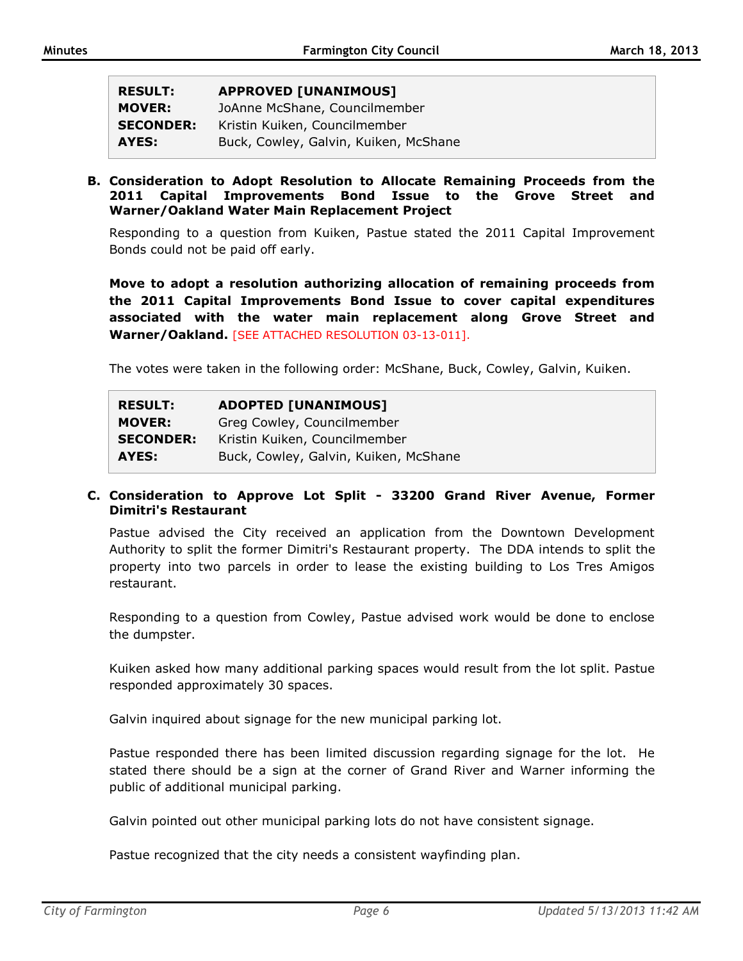| <b>RESULT:</b>   | <b>APPROVED [UNANIMOUS]</b>           |
|------------------|---------------------------------------|
| <b>MOVER:</b>    | JoAnne McShane, Councilmember         |
| <b>SECONDER:</b> | Kristin Kuiken, Councilmember         |
| AYES:            | Buck, Cowley, Galvin, Kuiken, McShane |

**B. Consideration to Adopt Resolution to Allocate Remaining Proceeds from the 2011 Capital Improvements Bond Issue to the Grove Street and Warner/Oakland Water Main Replacement Project**

Responding to a question from Kuiken, Pastue stated the 2011 Capital Improvement Bonds could not be paid off early.

**Move to adopt a resolution authorizing allocation of remaining proceeds from the 2011 Capital Improvements Bond Issue to cover capital expenditures associated with the water main replacement along Grove Street and Warner/Oakland.** [SEE ATTACHED RESOLUTION 03-13-011].

The votes were taken in the following order: McShane, Buck, Cowley, Galvin, Kuiken.

| <b>RESULT:</b>   | <b>ADOPTED [UNANIMOUS]</b>            |
|------------------|---------------------------------------|
| <b>MOVER:</b>    | Greg Cowley, Councilmember            |
| <b>SECONDER:</b> | Kristin Kuiken, Councilmember         |
| AYES:            | Buck, Cowley, Galvin, Kuiken, McShane |

### **C. Consideration to Approve Lot Split - 33200 Grand River Avenue, Former Dimitri's Restaurant**

Pastue advised the City received an application from the Downtown Development Authority to split the former Dimitri's Restaurant property. The DDA intends to split the property into two parcels in order to lease the existing building to Los Tres Amigos restaurant.

Responding to a question from Cowley, Pastue advised work would be done to enclose the dumpster.

Kuiken asked how many additional parking spaces would result from the lot split. Pastue responded approximately 30 spaces.

Galvin inquired about signage for the new municipal parking lot.

Pastue responded there has been limited discussion regarding signage for the lot. He stated there should be a sign at the corner of Grand River and Warner informing the public of additional municipal parking.

Galvin pointed out other municipal parking lots do not have consistent signage.

Pastue recognized that the city needs a consistent wayfinding plan.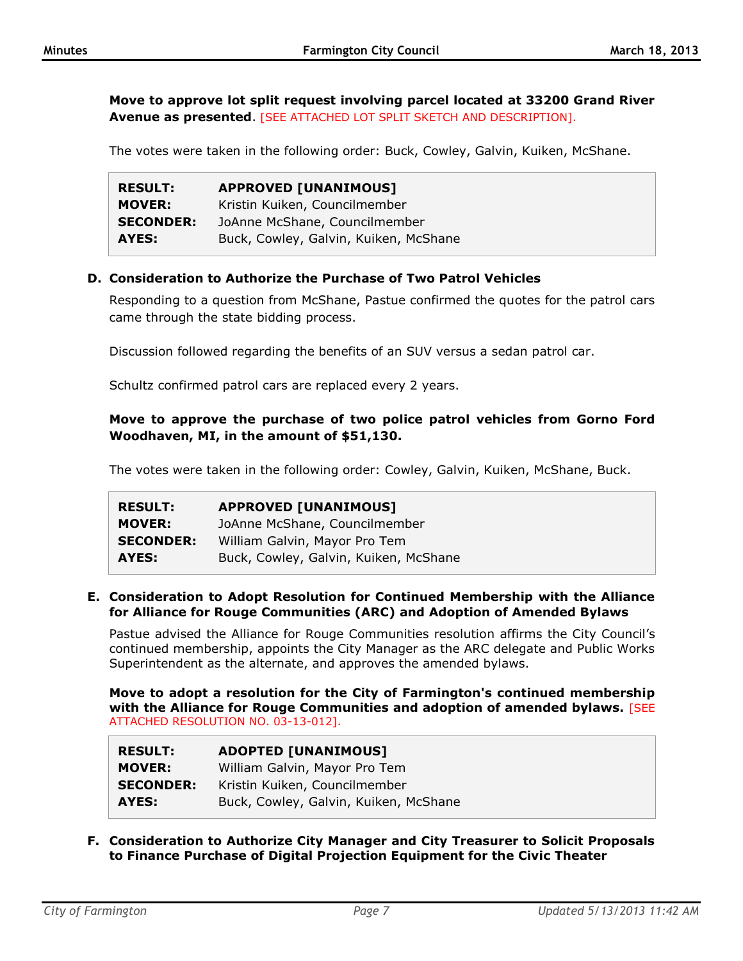**Move to approve lot split request involving parcel located at 33200 Grand River Avenue as presented**. [SEE ATTACHED LOT SPLIT SKETCH AND DESCRIPTION].

The votes were taken in the following order: Buck, Cowley, Galvin, Kuiken, McShane.

| <b>RESULT:</b>   | <b>APPROVED [UNANIMOUS]</b>           |
|------------------|---------------------------------------|
| <b>MOVER:</b>    | Kristin Kuiken, Councilmember         |
| <b>SECONDER:</b> | JoAnne McShane, Councilmember         |
| AYES:            | Buck, Cowley, Galvin, Kuiken, McShane |

### **D. Consideration to Authorize the Purchase of Two Patrol Vehicles**

Responding to a question from McShane, Pastue confirmed the quotes for the patrol cars came through the state bidding process.

Discussion followed regarding the benefits of an SUV versus a sedan patrol car.

Schultz confirmed patrol cars are replaced every 2 years.

## **Move to approve the purchase of two police patrol vehicles from Gorno Ford Woodhaven, MI, in the amount of \$51,130.**

The votes were taken in the following order: Cowley, Galvin, Kuiken, McShane, Buck.

| <b>RESULT:</b>   | <b>APPROVED [UNANIMOUS]</b>           |
|------------------|---------------------------------------|
| <b>MOVER:</b>    | JoAnne McShane, Councilmember         |
| <b>SECONDER:</b> | William Galvin, Mayor Pro Tem         |
| AYES:            | Buck, Cowley, Galvin, Kuiken, McShane |

#### **E. Consideration to Adopt Resolution for Continued Membership with the Alliance for Alliance for Rouge Communities (ARC) and Adoption of Amended Bylaws**

Pastue advised the Alliance for Rouge Communities resolution affirms the City Council's continued membership, appoints the City Manager as the ARC delegate and Public Works Superintendent as the alternate, and approves the amended bylaws.

**Move to adopt a resolution for the City of Farmington's continued membership with the Alliance for Rouge Communities and adoption of amended bylaws.** [SEE ATTACHED RESOLUTION NO. 03-13-012].

| <b>RESULT:</b>   | <b>ADOPTED [UNANIMOUS]</b>            |
|------------------|---------------------------------------|
| <b>MOVER:</b>    | William Galvin, Mayor Pro Tem         |
| <b>SECONDER:</b> | Kristin Kuiken, Councilmember         |
| AYES:            | Buck, Cowley, Galvin, Kuiken, McShane |

**F. Consideration to Authorize City Manager and City Treasurer to Solicit Proposals to Finance Purchase of Digital Projection Equipment for the Civic Theater**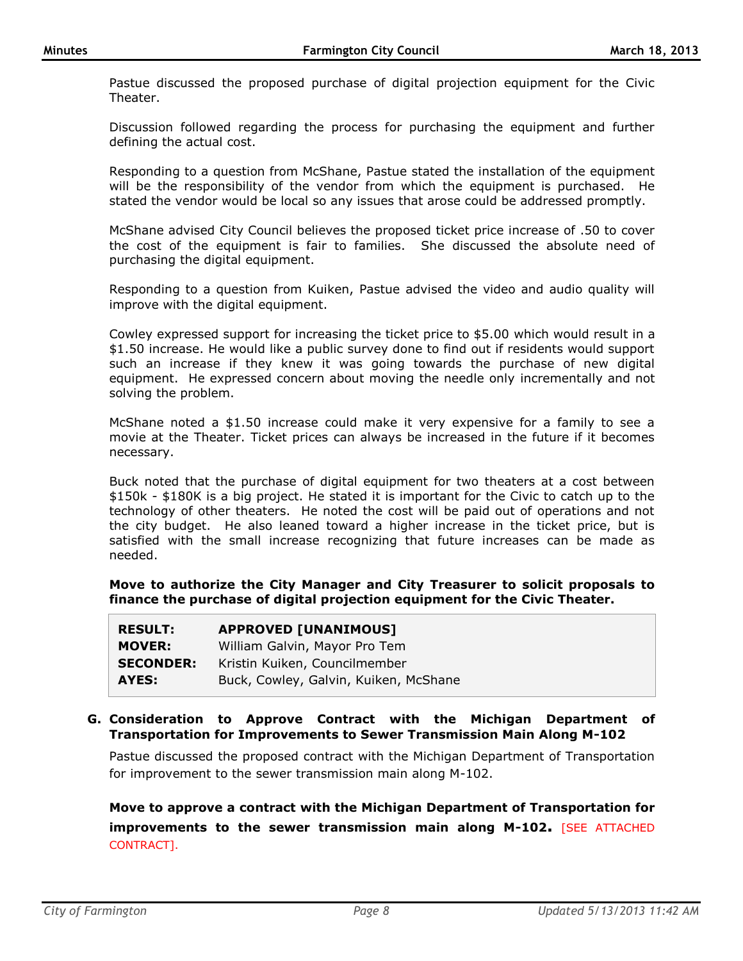Pastue discussed the proposed purchase of digital projection equipment for the Civic Theater.

Discussion followed regarding the process for purchasing the equipment and further defining the actual cost.

Responding to a question from McShane, Pastue stated the installation of the equipment will be the responsibility of the vendor from which the equipment is purchased. He stated the vendor would be local so any issues that arose could be addressed promptly.

McShane advised City Council believes the proposed ticket price increase of .50 to cover the cost of the equipment is fair to families. She discussed the absolute need of purchasing the digital equipment.

Responding to a question from Kuiken, Pastue advised the video and audio quality will improve with the digital equipment.

Cowley expressed support for increasing the ticket price to \$5.00 which would result in a \$1.50 increase. He would like a public survey done to find out if residents would support such an increase if they knew it was going towards the purchase of new digital equipment. He expressed concern about moving the needle only incrementally and not solving the problem.

McShane noted a \$1.50 increase could make it very expensive for a family to see a movie at the Theater. Ticket prices can always be increased in the future if it becomes necessary.

Buck noted that the purchase of digital equipment for two theaters at a cost between \$150k - \$180K is a big project. He stated it is important for the Civic to catch up to the technology of other theaters. He noted the cost will be paid out of operations and not the city budget. He also leaned toward a higher increase in the ticket price, but is satisfied with the small increase recognizing that future increases can be made as needed.

**Move to authorize the City Manager and City Treasurer to solicit proposals to finance the purchase of digital projection equipment for the Civic Theater.**

| <b>RESULT:</b>   | <b>APPROVED [UNANIMOUS]</b>           |
|------------------|---------------------------------------|
| <b>MOVER:</b>    | William Galvin, Mayor Pro Tem         |
| <b>SECONDER:</b> | Kristin Kuiken, Councilmember         |
| AYES:            | Buck, Cowley, Galvin, Kuiken, McShane |

### **G. Consideration to Approve Contract with the Michigan Department of Transportation for Improvements to Sewer Transmission Main Along M-102**

Pastue discussed the proposed contract with the Michigan Department of Transportation for improvement to the sewer transmission main along M-102.

**Move to approve a contract with the Michigan Department of Transportation for improvements to the sewer transmission main along M-102.** [SEE ATTACHED CONTRACT].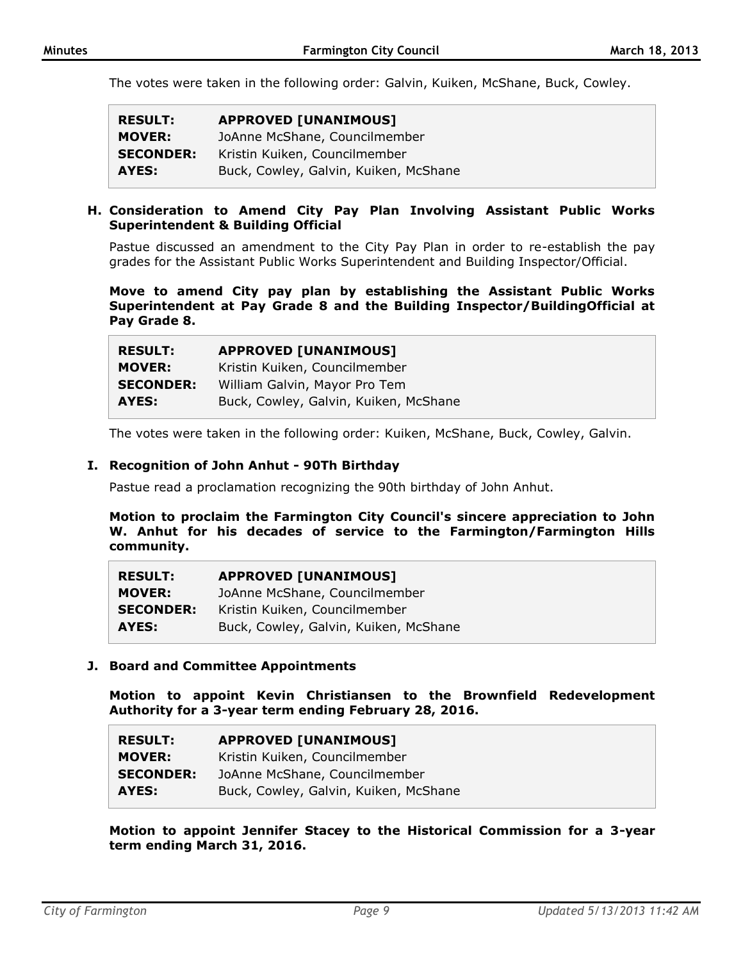The votes were taken in the following order: Galvin, Kuiken, McShane, Buck, Cowley.

| <b>RESULT:</b>   | <b>APPROVED [UNANIMOUS]</b>           |
|------------------|---------------------------------------|
| <b>MOVER:</b>    | JoAnne McShane, Councilmember         |
| <b>SECONDER:</b> | Kristin Kuiken, Councilmember         |
| AYES:            | Buck, Cowley, Galvin, Kuiken, McShane |

#### **H. Consideration to Amend City Pay Plan Involving Assistant Public Works Superintendent & Building Official**

Pastue discussed an amendment to the City Pay Plan in order to re-establish the pay grades for the Assistant Public Works Superintendent and Building Inspector/Official.

**Move to amend City pay plan by establishing the Assistant Public Works Superintendent at Pay Grade 8 and the Building Inspector/BuildingOfficial at Pay Grade 8.**

| <b>RESULT:</b>   | <b>APPROVED [UNANIMOUS]</b>           |
|------------------|---------------------------------------|
| <b>MOVER:</b>    | Kristin Kuiken, Councilmember         |
| <b>SECONDER:</b> | William Galvin, Mayor Pro Tem         |
| AYES:            | Buck, Cowley, Galvin, Kuiken, McShane |

The votes were taken in the following order: Kuiken, McShane, Buck, Cowley, Galvin.

#### **I. Recognition of John Anhut - 90Th Birthday**

Pastue read a proclamation recognizing the 90th birthday of John Anhut.

**Motion to proclaim the Farmington City Council's sincere appreciation to John W. Anhut for his decades of service to the Farmington/Farmington Hills community.**

| <b>RESULT:</b>   | <b>APPROVED [UNANIMOUS]</b>           |
|------------------|---------------------------------------|
| <b>MOVER:</b>    | JoAnne McShane, Councilmember         |
| <b>SECONDER:</b> | Kristin Kuiken, Councilmember         |
| AYES:            | Buck, Cowley, Galvin, Kuiken, McShane |

### **J. Board and Committee Appointments**

**Motion to appoint Kevin Christiansen to the Brownfield Redevelopment Authority for a 3-year term ending February 28, 2016.**

| <b>RESULT:</b>   | <b>APPROVED [UNANIMOUS]</b>           |
|------------------|---------------------------------------|
| <b>MOVER:</b>    | Kristin Kuiken, Councilmember         |
| <b>SECONDER:</b> | JoAnne McShane, Councilmember         |
| AYES:            | Buck, Cowley, Galvin, Kuiken, McShane |

**Motion to appoint Jennifer Stacey to the Historical Commission for a 3-year term ending March 31, 2016.**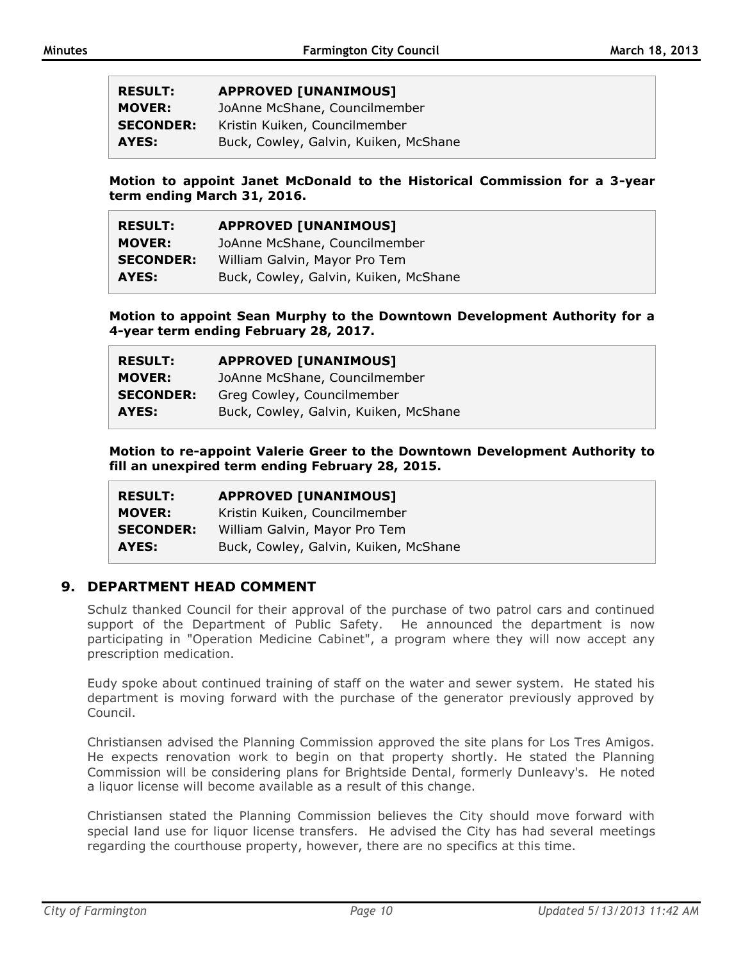| <b>RESULT:</b>   | <b>APPROVED [UNANIMOUS]</b>           |
|------------------|---------------------------------------|
| <b>MOVER:</b>    | JoAnne McShane, Councilmember         |
| <b>SECONDER:</b> | Kristin Kuiken, Councilmember         |
| AYES:            | Buck, Cowley, Galvin, Kuiken, McShane |

**Motion to appoint Janet McDonald to the Historical Commission for a 3-year term ending March 31, 2016.**

| <b>RESULT:</b>   | <b>APPROVED [UNANIMOUS]</b>           |
|------------------|---------------------------------------|
| <b>MOVER:</b>    | JoAnne McShane, Councilmember         |
| <b>SECONDER:</b> | William Galvin, Mayor Pro Tem         |
| AYES:            | Buck, Cowley, Galvin, Kuiken, McShane |

**Motion to appoint Sean Murphy to the Downtown Development Authority for a 4-year term ending February 28, 2017.**

| <b>RESULT:</b>   | <b>APPROVED [UNANIMOUS]</b>           |
|------------------|---------------------------------------|
| <b>MOVER:</b>    | JoAnne McShane, Councilmember         |
| <b>SECONDER:</b> | Greg Cowley, Councilmember            |
| AYES:            | Buck, Cowley, Galvin, Kuiken, McShane |

**Motion to re-appoint Valerie Greer to the Downtown Development Authority to fill an unexpired term ending February 28, 2015.**

| <b>RESULT:</b>   | <b>APPROVED [UNANIMOUS]</b>           |
|------------------|---------------------------------------|
| <b>MOVER:</b>    | Kristin Kuiken, Councilmember         |
| <b>SECONDER:</b> | William Galvin, Mayor Pro Tem         |
| AYES:            | Buck, Cowley, Galvin, Kuiken, McShane |

## **9. DEPARTMENT HEAD COMMENT**

Schulz thanked Council for their approval of the purchase of two patrol cars and continued support of the Department of Public Safety. He announced the department is now participating in "Operation Medicine Cabinet", a program where they will now accept any prescription medication.

Eudy spoke about continued training of staff on the water and sewer system. He stated his department is moving forward with the purchase of the generator previously approved by Council.

Christiansen advised the Planning Commission approved the site plans for Los Tres Amigos. He expects renovation work to begin on that property shortly. He stated the Planning Commission will be considering plans for Brightside Dental, formerly Dunleavy's. He noted a liquor license will become available as a result of this change.

Christiansen stated the Planning Commission believes the City should move forward with special land use for liquor license transfers. He advised the City has had several meetings regarding the courthouse property, however, there are no specifics at this time.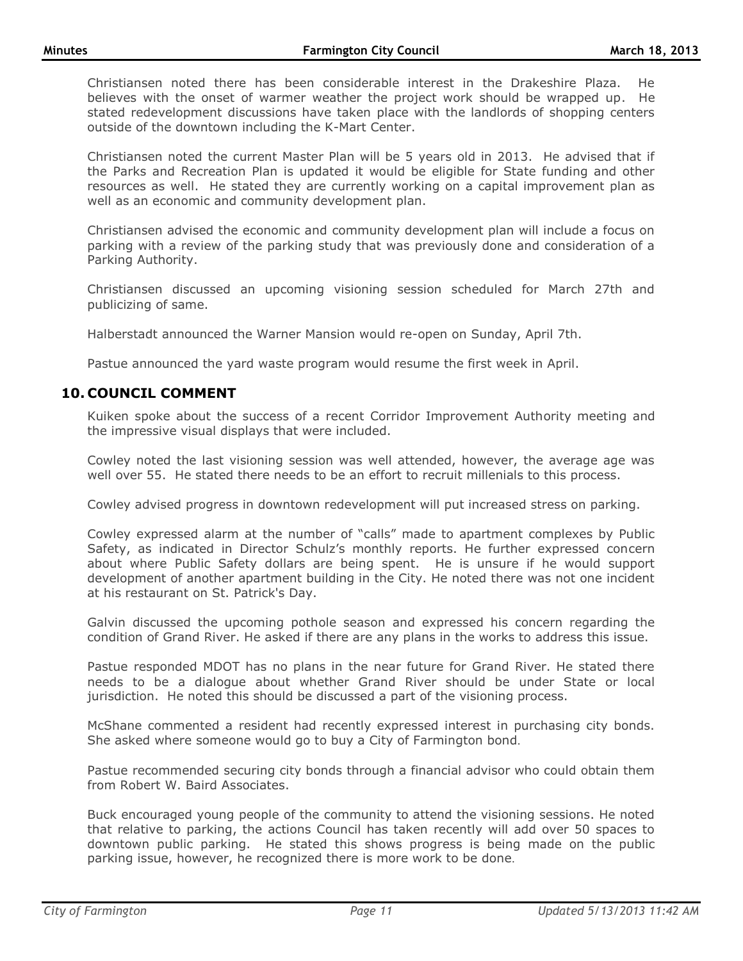Christiansen noted there has been considerable interest in the Drakeshire Plaza. He believes with the onset of warmer weather the project work should be wrapped up. He stated redevelopment discussions have taken place with the landlords of shopping centers outside of the downtown including the K-Mart Center.

Christiansen noted the current Master Plan will be 5 years old in 2013. He advised that if the Parks and Recreation Plan is updated it would be eligible for State funding and other resources as well. He stated they are currently working on a capital improvement plan as well as an economic and community development plan.

Christiansen advised the economic and community development plan will include a focus on parking with a review of the parking study that was previously done and consideration of a Parking Authority.

Christiansen discussed an upcoming visioning session scheduled for March 27th and publicizing of same.

Halberstadt announced the Warner Mansion would re-open on Sunday, April 7th.

Pastue announced the yard waste program would resume the first week in April.

# **10. COUNCIL COMMENT**

Kuiken spoke about the success of a recent Corridor Improvement Authority meeting and the impressive visual displays that were included.

Cowley noted the last visioning session was well attended, however, the average age was well over 55. He stated there needs to be an effort to recruit millenials to this process.

Cowley advised progress in downtown redevelopment will put increased stress on parking.

Cowley expressed alarm at the number of "calls" made to apartment complexes by Public Safety, as indicated in Director Schulz's monthly reports. He further expressed concern about where Public Safety dollars are being spent. He is unsure if he would support development of another apartment building in the City. He noted there was not one incident at his restaurant on St. Patrick's Day.

Galvin discussed the upcoming pothole season and expressed his concern regarding the condition of Grand River. He asked if there are any plans in the works to address this issue.

Pastue responded MDOT has no plans in the near future for Grand River. He stated there needs to be a dialogue about whether Grand River should be under State or local jurisdiction. He noted this should be discussed a part of the visioning process.

McShane commented a resident had recently expressed interest in purchasing city bonds. She asked where someone would go to buy a City of Farmington bond.

Pastue recommended securing city bonds through a financial advisor who could obtain them from Robert W. Baird Associates.

Buck encouraged young people of the community to attend the visioning sessions. He noted that relative to parking, the actions Council has taken recently will add over 50 spaces to downtown public parking. He stated this shows progress is being made on the public parking issue, however, he recognized there is more work to be done.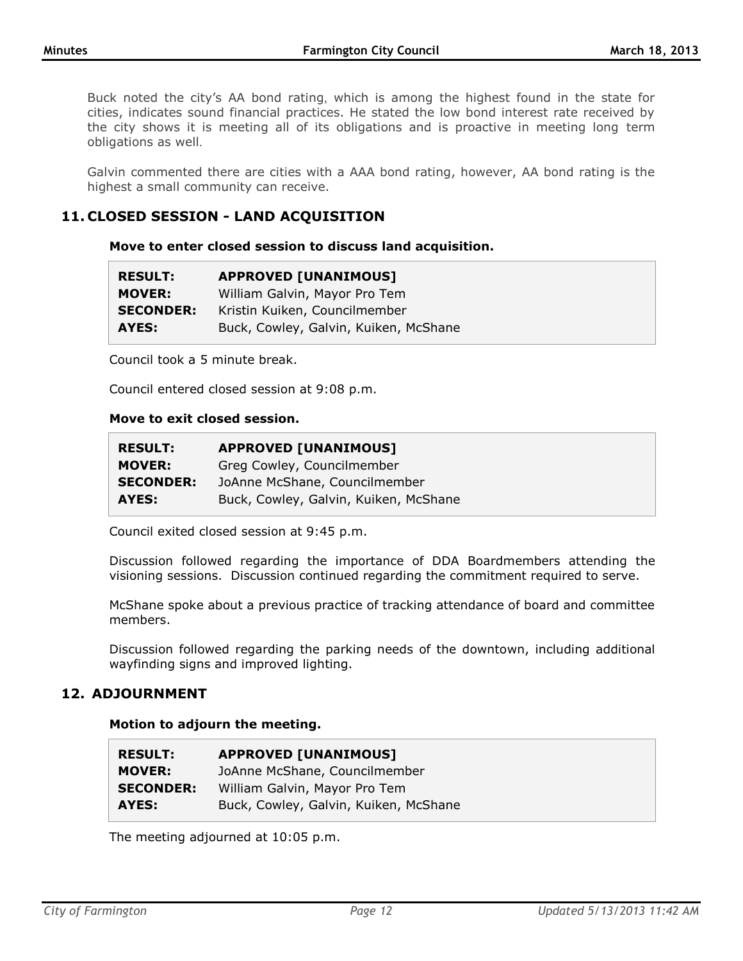Buck noted the city's AA bond rating, which is among the highest found in the state for cities, indicates sound financial practices. He stated the low bond interest rate received by the city shows it is meeting all of its obligations and is proactive in meeting long term obligations as well.

Galvin commented there are cities with a AAA bond rating, however, AA bond rating is the highest a small community can receive.

# **11. CLOSED SESSION - LAND ACQUISITION**

**Move to enter closed session to discuss land acquisition.**

| <b>RESULT:</b>   | <b>APPROVED [UNANIMOUS]</b>           |
|------------------|---------------------------------------|
| <b>MOVER:</b>    | William Galvin, Mayor Pro Tem         |
| <b>SECONDER:</b> | Kristin Kuiken, Councilmember         |
| AYES:            | Buck, Cowley, Galvin, Kuiken, McShane |

Council took a 5 minute break.

Council entered closed session at 9:08 p.m.

#### **Move to exit closed session.**

| <b>RESULT:</b>   | <b>APPROVED [UNANIMOUS]</b>           |
|------------------|---------------------------------------|
| <b>MOVER:</b>    | Greg Cowley, Councilmember            |
| <b>SECONDER:</b> | JoAnne McShane, Councilmember         |
| AYES:            | Buck, Cowley, Galvin, Kuiken, McShane |

Council exited closed session at 9:45 p.m.

Discussion followed regarding the importance of DDA Boardmembers attending the visioning sessions. Discussion continued regarding the commitment required to serve.

McShane spoke about a previous practice of tracking attendance of board and committee members.

Discussion followed regarding the parking needs of the downtown, including additional wayfinding signs and improved lighting.

## **12. ADJOURNMENT**

### **Motion to adjourn the meeting.**

| <b>RESULT:</b>   | <b>APPROVED [UNANIMOUS]</b>           |
|------------------|---------------------------------------|
| <b>MOVER:</b>    | JoAnne McShane, Councilmember         |
| <b>SECONDER:</b> | William Galvin, Mayor Pro Tem         |
| AYES:            | Buck, Cowley, Galvin, Kuiken, McShane |

The meeting adjourned at 10:05 p.m.